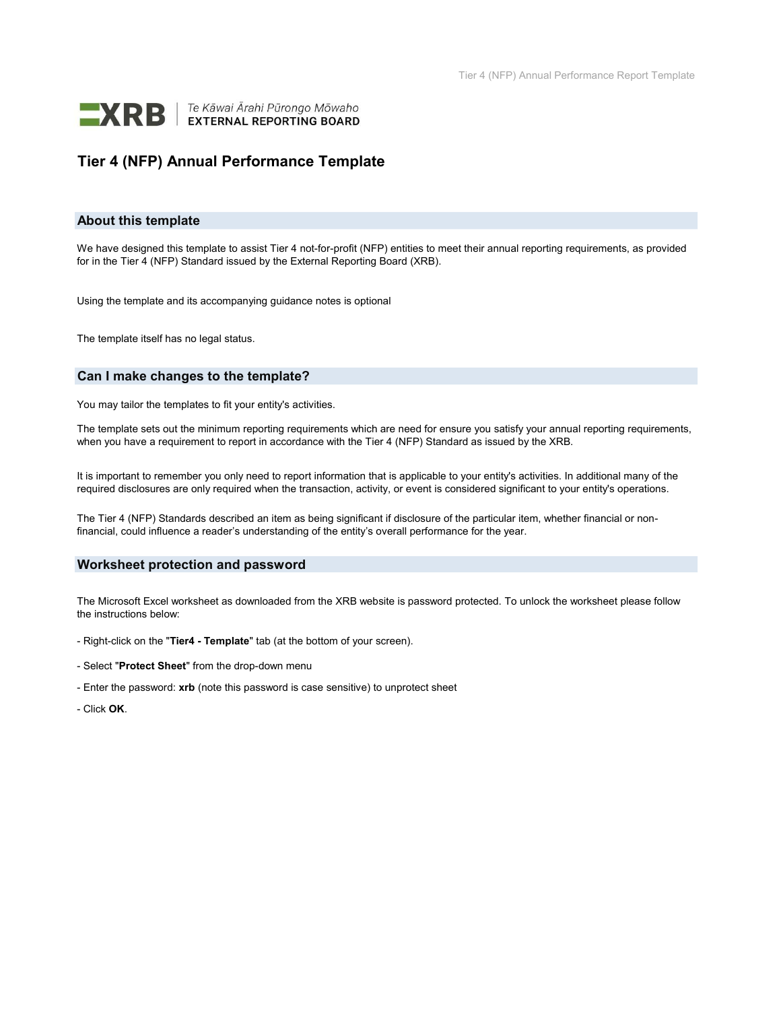

### Tier 4 (NFP) Annual Performance Template

#### About this template

We have designed this template to assist Tier 4 not-for-profit (NFP) entities to meet their annual reporting requirements, as provided for in the Tier 4 (NFP) Standard issued by the External Reporting Board (XRB).

Using the template and its accompanying guidance notes is optional

The template itself has no legal status.

#### Can I make changes to the template?

You may tailor the templates to fit your entity's activities.

The template sets out the minimum reporting requirements which are need for ensure you satisfy your annual reporting requirements, when you have a requirement to report in accordance with the Tier 4 (NFP) Standard as issued by the XRB.

It is important to remember you only need to report information that is applicable to your entity's activities. In additional many of the required disclosures are only required when the transaction, activity, or event is considered significant to your entity's operations.

The Tier 4 (NFP) Standards described an item as being significant if disclosure of the particular item, whether financial or nonfinancial, could influence a reader's understanding of the entity's overall performance for the year.

#### Worksheet protection and password

The Microsoft Excel worksheet as downloaded from the XRB website is password protected. To unlock the worksheet please follow the instructions below:

- Right-click on the "Tier4 Template" tab (at the bottom of your screen).
- Select "Protect Sheet" from the drop-down menu
- Enter the password: xrb (note this password is case sensitive) to unprotect sheet
- Click OK.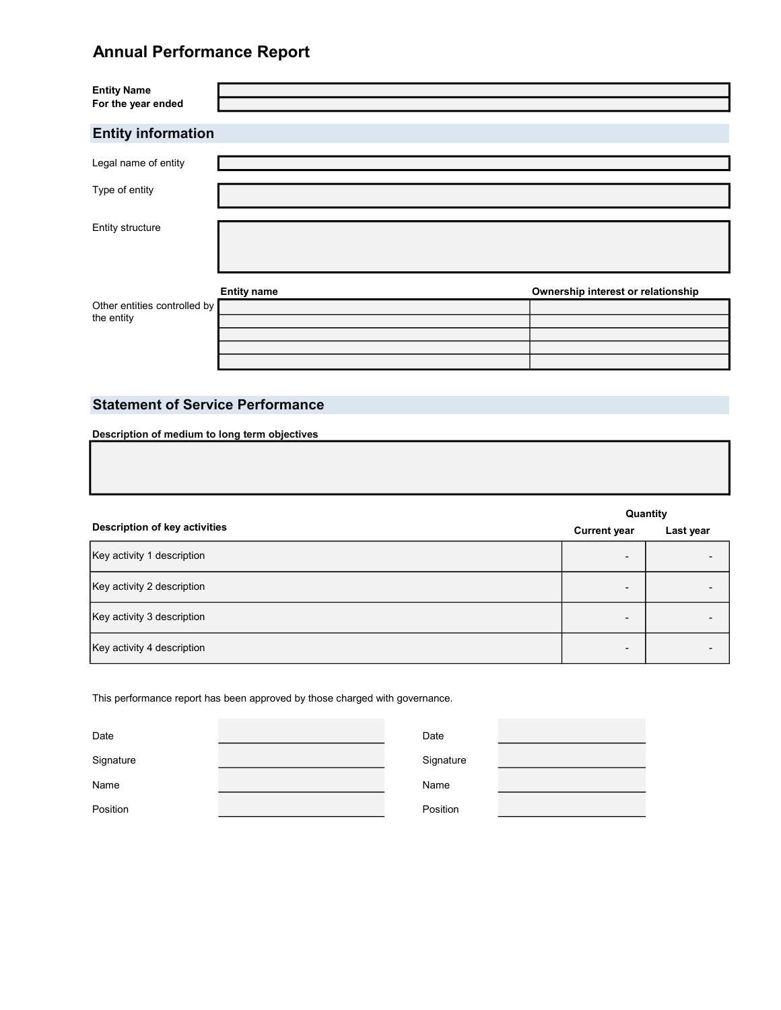| <b>Entity Name</b><br>For the year ended   |                    |                                    |
|--------------------------------------------|--------------------|------------------------------------|
| <b>Entity information</b>                  |                    |                                    |
| Legal name of entity                       |                    |                                    |
| Type of entity                             |                    |                                    |
| Entity structure                           |                    |                                    |
| Other entities controlled by<br>the entity | <b>Entity name</b> | Ownership interest or relationship |

### Statement of Service Performance

|                               |                     | Quantity  |
|-------------------------------|---------------------|-----------|
| Description of key activities | <b>Current year</b> | Last year |
| Key activity 1 description    | -                   |           |
| Key activity 2 description    | -                   |           |
| Key activity 3 description    | -                   |           |
| Key activity 4 description    | -                   |           |

This performance report has been approved by those charged with governance.

| Date      | Date      |  |
|-----------|-----------|--|
|           |           |  |
| Signature | Signature |  |
| Name      | Name      |  |
|           |           |  |
| Position  | Position  |  |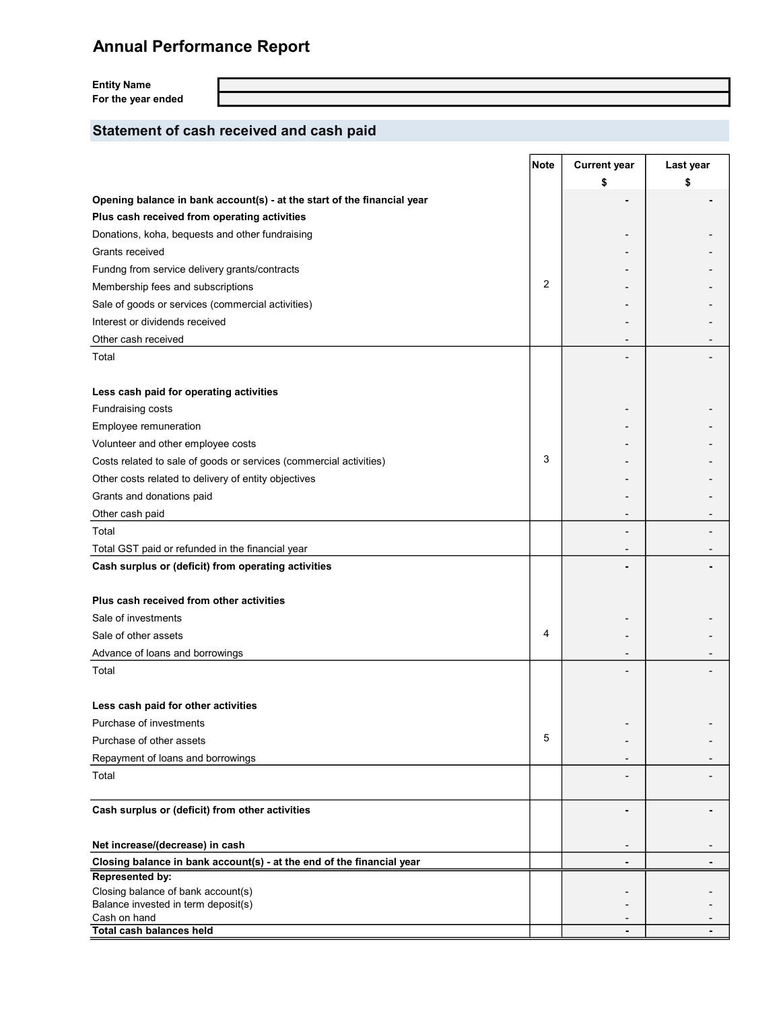Entity Name For the year ended

## Statement of cash received and cash paid

|                                                                           | <b>Note</b> | <b>Current year</b> | Last year |
|---------------------------------------------------------------------------|-------------|---------------------|-----------|
|                                                                           |             | \$                  |           |
| Opening balance in bank account(s) - at the start of the financial year   |             |                     |           |
| Plus cash received from operating activities                              |             |                     |           |
| Donations, koha, bequests and other fundraising                           |             |                     |           |
| Grants received                                                           |             |                     |           |
| Fundng from service delivery grants/contracts                             |             |                     |           |
| Membership fees and subscriptions                                         | 2           |                     |           |
| Sale of goods or services (commercial activities)                         |             |                     |           |
| Interest or dividends received                                            |             |                     |           |
| Other cash received                                                       |             |                     |           |
| Total                                                                     |             |                     |           |
|                                                                           |             |                     |           |
| Less cash paid for operating activities                                   |             |                     |           |
| Fundraising costs                                                         |             |                     |           |
| Employee remuneration                                                     |             |                     |           |
| Volunteer and other employee costs                                        |             |                     |           |
| Costs related to sale of goods or services (commercial activities)        | 3           |                     |           |
| Other costs related to delivery of entity objectives                      |             |                     |           |
| Grants and donations paid                                                 |             |                     |           |
| Other cash paid                                                           |             |                     |           |
| Total                                                                     |             |                     |           |
| Total GST paid or refunded in the financial year                          |             |                     |           |
| Cash surplus or (deficit) from operating activities                       |             |                     |           |
|                                                                           |             |                     |           |
| Plus cash received from other activities                                  |             |                     |           |
| Sale of investments                                                       |             |                     |           |
| Sale of other assets                                                      | 4           |                     |           |
| Advance of loans and borrowings                                           |             |                     |           |
| Total                                                                     |             |                     |           |
|                                                                           |             |                     |           |
| Less cash paid for other activities                                       |             |                     |           |
| Purchase of investments                                                   |             |                     |           |
| Purchase of other assets                                                  | 5           |                     |           |
| Repayment of loans and borrowings                                         |             |                     |           |
| Total                                                                     |             |                     |           |
|                                                                           |             |                     |           |
| Cash surplus or (deficit) from other activities                           |             |                     |           |
|                                                                           |             |                     |           |
| Net increase/(decrease) in cash                                           |             |                     |           |
| Closing balance in bank account(s) - at the end of the financial year     |             |                     |           |
| Represented by:                                                           |             |                     |           |
| Closing balance of bank account(s)<br>Balance invested in term deposit(s) |             |                     |           |
| Cash on hand                                                              |             |                     |           |
| <b>Total cash balances held</b>                                           |             |                     | ۰         |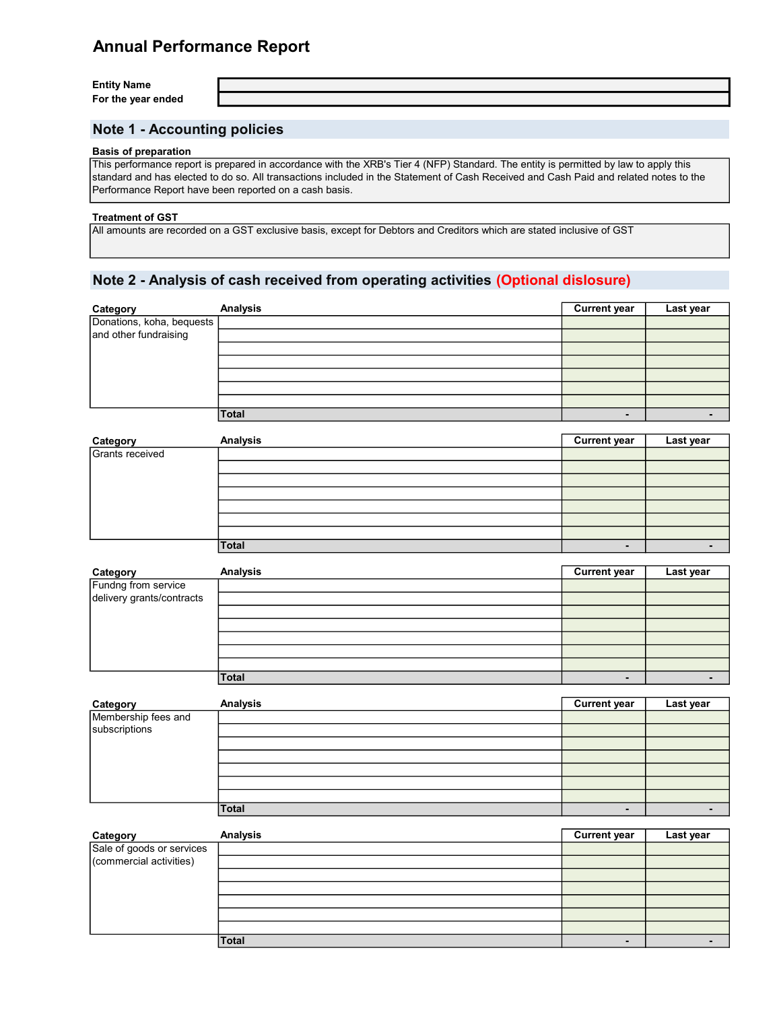Entity Name For the year ended

### Note 1 - Accounting policies

#### Basis of preparation

This performance report is prepared in accordance with the XRB's Tier 4 (NFP) Standard. The entity is permitted by law to apply this standard and has elected to do so. All transactions included in the Statement of Cash Received and Cash Paid and related notes to the Performance Report have been reported on a cash basis.

#### Treatment of GST

All amounts are recorded on a GST exclusive basis, except for Debtors and Creditors which are stated inclusive of GST

#### Note 2 - Analysis of cash received from operating activities (Optional dislosure)

|                                                                | <b>Analysis</b> | <b>Current year</b> | Last year |
|----------------------------------------------------------------|-----------------|---------------------|-----------|
| Category<br>Donations, koha, bequests<br>and other fundraising |                 |                     |           |
|                                                                |                 |                     |           |
|                                                                |                 |                     |           |
|                                                                |                 |                     |           |
|                                                                |                 |                     |           |
|                                                                |                 |                     |           |
|                                                                |                 |                     |           |
|                                                                | Total           |                     |           |

| Category        | Analysis | <b>Current year</b> | Last year |
|-----------------|----------|---------------------|-----------|
| Grants received |          |                     |           |
|                 |          |                     |           |
|                 |          |                     |           |
|                 |          |                     |           |
|                 |          |                     |           |
|                 |          |                     |           |
|                 |          |                     |           |
|                 | Total    | ۰                   |           |

| Category                                         | Analysis | <b>Current year</b>      | Last year |
|--------------------------------------------------|----------|--------------------------|-----------|
| Fundng from service<br>delivery grants/contracts |          |                          |           |
|                                                  |          |                          |           |
|                                                  |          |                          |           |
|                                                  |          |                          |           |
|                                                  |          |                          |           |
|                                                  |          |                          |           |
|                                                  |          |                          |           |
|                                                  | Total    | $\overline{\phantom{0}}$ |           |

| Category                             | Analysis | <b>Current year</b> | Last year |
|--------------------------------------|----------|---------------------|-----------|
| Membership fees and<br>subscriptions |          |                     |           |
|                                      |          |                     |           |
|                                      |          |                     |           |
|                                      |          |                     |           |
|                                      |          |                     |           |
|                                      |          |                     |           |
|                                      |          |                     |           |
|                                      | Total    |                     | -         |

| Category                                             | <b>Analysis</b> | <b>Current year</b> | Last year |
|------------------------------------------------------|-----------------|---------------------|-----------|
| Sale of goods or services<br>(commercial activities) |                 |                     |           |
|                                                      |                 |                     |           |
|                                                      |                 |                     |           |
|                                                      |                 |                     |           |
|                                                      |                 |                     |           |
|                                                      |                 |                     |           |
|                                                      |                 |                     |           |
|                                                      | <b>Total</b>    |                     |           |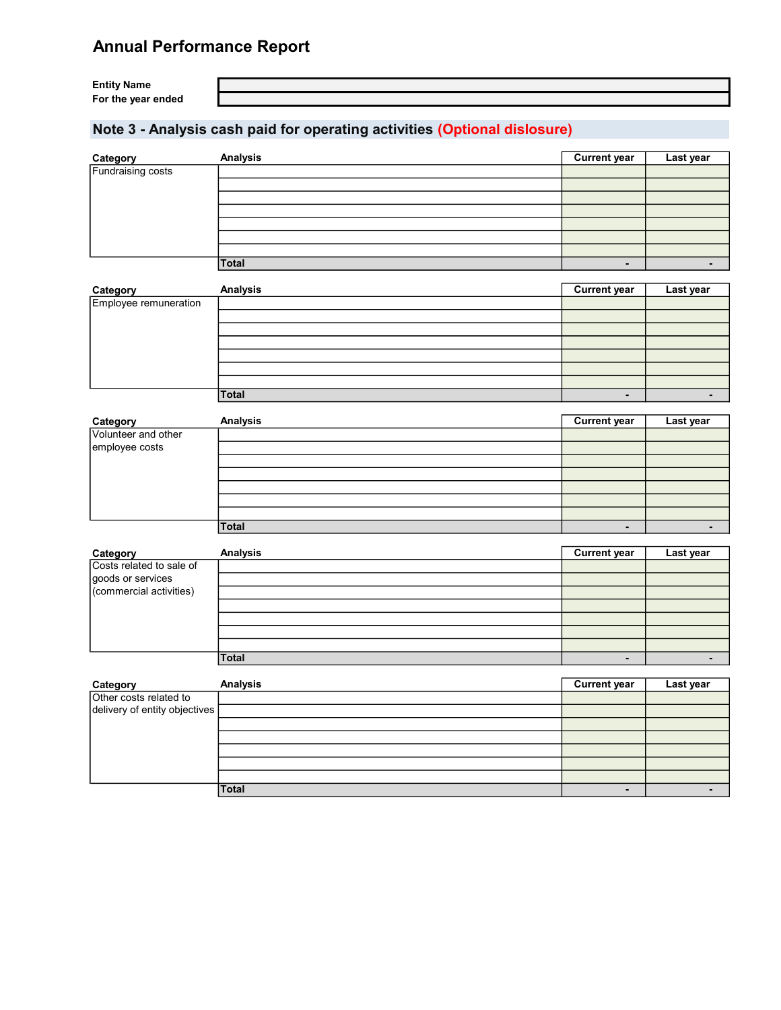Entity Name For the year ended

## Note 3 - Analysis cash paid for operating activities (Optional dislosure)

| Category          | <b>Analysis</b> | <b>Current year</b>      | Last year |
|-------------------|-----------------|--------------------------|-----------|
| Fundraising costs |                 |                          |           |
|                   |                 |                          |           |
|                   |                 |                          |           |
|                   |                 |                          |           |
|                   |                 |                          |           |
|                   |                 |                          |           |
|                   |                 |                          |           |
|                   | Total           | $\overline{\phantom{0}}$ |           |

| Category              | <b>Analysis</b> | <b>Current year</b>      | Last year |
|-----------------------|-----------------|--------------------------|-----------|
| Employee remuneration |                 |                          |           |
|                       |                 |                          |           |
|                       |                 |                          |           |
|                       |                 |                          |           |
|                       |                 |                          |           |
|                       |                 |                          |           |
|                       |                 |                          |           |
|                       | <b>Total</b>    | $\overline{\phantom{0}}$ |           |

| Category            | Analysis | <b>Current year</b>      | Last year |
|---------------------|----------|--------------------------|-----------|
| Volunteer and other |          |                          |           |
| employee costs      |          |                          |           |
|                     |          |                          |           |
|                     |          |                          |           |
|                     |          |                          |           |
|                     |          |                          |           |
|                     |          |                          |           |
|                     | Total    | $\overline{\phantom{0}}$ |           |

| Category                 | <b>Analysis</b> | <b>Current year</b> | Last year |
|--------------------------|-----------------|---------------------|-----------|
| Costs related to sale of |                 |                     |           |
| goods or services        |                 |                     |           |
| (commercial activities)  |                 |                     |           |
|                          |                 |                     |           |
|                          |                 |                     |           |
|                          |                 |                     |           |
|                          |                 |                     |           |
|                          | <b>Total</b>    |                     |           |

| Category                        | <b>Analysis</b> | <b>Current year</b> | Last year |
|---------------------------------|-----------------|---------------------|-----------|
| Other costs related to          |                 |                     |           |
| delivery of entity objectives [ |                 |                     |           |
|                                 |                 |                     |           |
|                                 |                 |                     |           |
|                                 |                 |                     |           |
|                                 |                 |                     |           |
|                                 |                 |                     |           |
|                                 | <b>Total</b>    |                     |           |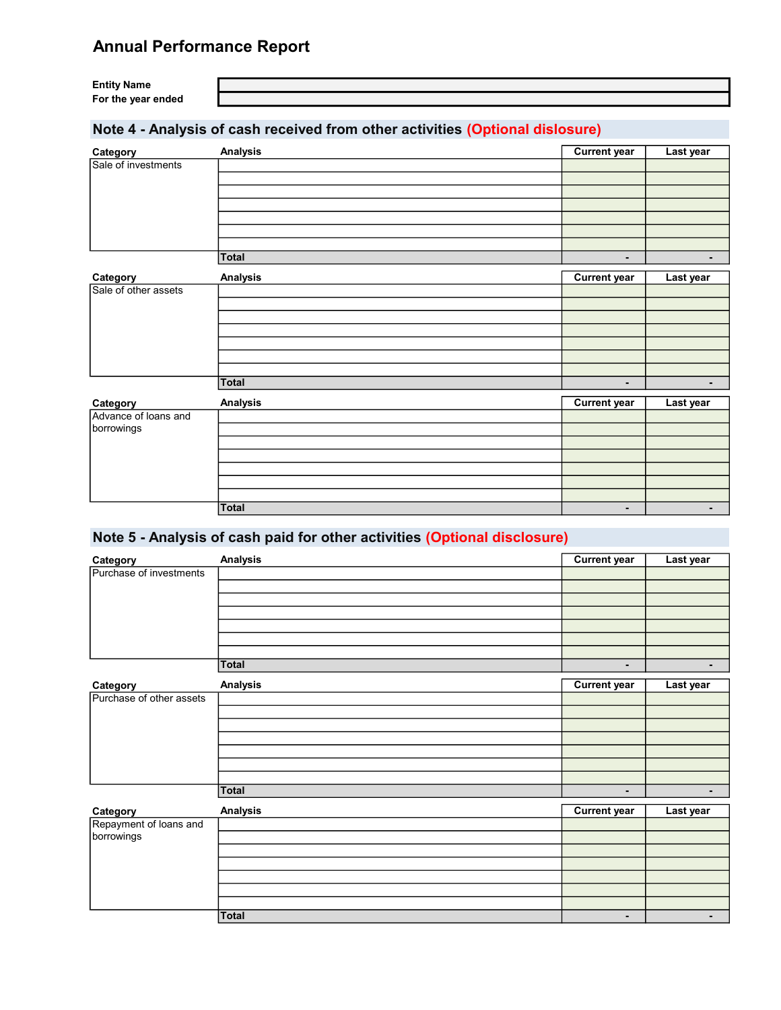Entity Name For the year ended

## Note 4 - Analysis of cash received from other activities (Optional dislosure)

| Category             | Analysis        | <b>Current year</b> | Last year      |
|----------------------|-----------------|---------------------|----------------|
| Sale of investments  |                 |                     |                |
|                      |                 |                     |                |
|                      |                 |                     |                |
|                      |                 |                     |                |
|                      |                 |                     |                |
|                      |                 |                     |                |
|                      | <b>Total</b>    | $\blacksquare$      | $\blacksquare$ |
|                      |                 |                     |                |
| Category             | <b>Analysis</b> | <b>Current year</b> | Last year      |
| Sale of other assets |                 |                     |                |
|                      |                 |                     |                |
|                      |                 |                     |                |
|                      |                 |                     |                |
|                      |                 |                     |                |
|                      |                 |                     |                |
|                      | Total           | ٠                   | $\blacksquare$ |
| Category             | <b>Analysis</b> | <b>Current year</b> | Last year      |
| Advance of loans and |                 |                     |                |
| borrowings           |                 |                     |                |
|                      |                 |                     |                |
|                      |                 |                     |                |
|                      |                 |                     |                |
|                      |                 |                     |                |
|                      |                 |                     |                |
|                      | <b>Total</b>    | $\blacksquare$      | $\blacksquare$ |

## Note 5 - Analysis of cash paid for other activities (Optional disclosure)

| Category                 | <b>Analysis</b> | <b>Current year</b> | Last year |
|--------------------------|-----------------|---------------------|-----------|
| Purchase of investments  |                 |                     |           |
|                          |                 |                     |           |
|                          |                 |                     |           |
|                          |                 |                     |           |
|                          |                 |                     |           |
|                          |                 |                     |           |
|                          |                 |                     |           |
|                          | <b>Total</b>    | $\blacksquare$      | ٠         |
| Category                 | <b>Analysis</b> | <b>Current year</b> | Last year |
| Purchase of other assets |                 |                     |           |
|                          |                 |                     |           |
|                          |                 |                     |           |
|                          |                 |                     |           |
|                          |                 |                     |           |
|                          |                 |                     |           |
|                          |                 |                     |           |
|                          | <b>Total</b>    | ٠                   | ۰         |
| Category                 | <b>Analysis</b> | <b>Current year</b> | Last year |
| Repayment of loans and   |                 |                     |           |
| borrowings               |                 |                     |           |
|                          |                 |                     |           |
|                          |                 |                     |           |
|                          |                 |                     |           |
|                          |                 |                     |           |
|                          |                 |                     |           |
|                          | Total           | $\blacksquare$      | ٠         |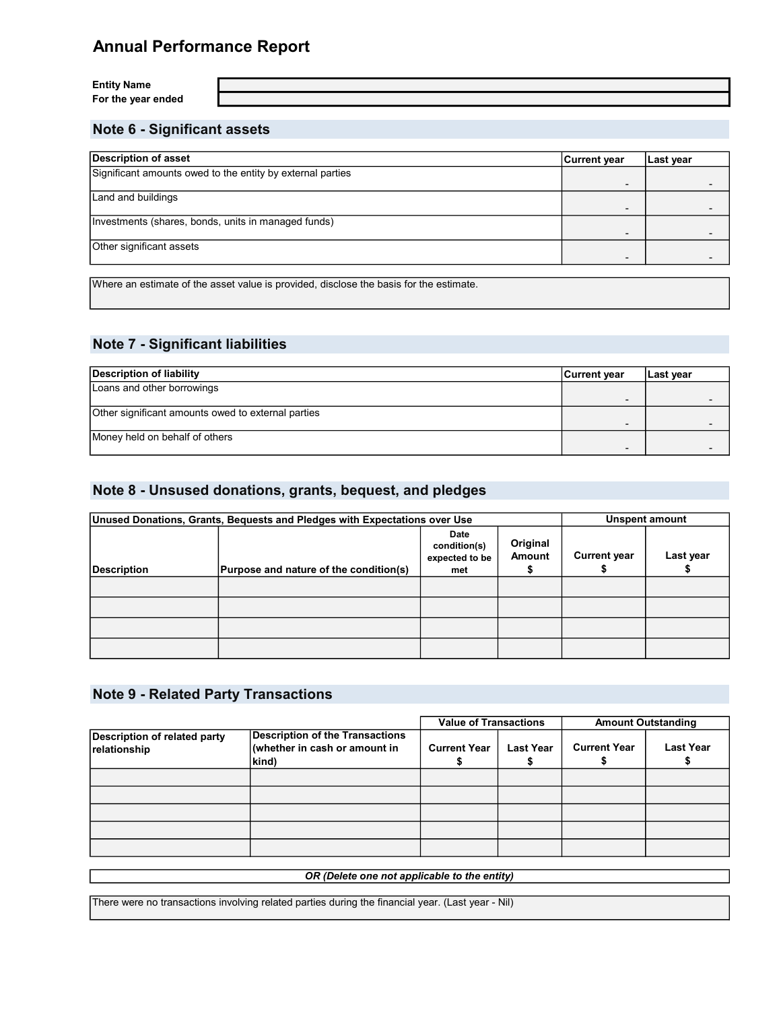Entity Name For the year ended

### Note 6 - Significant assets

| <b>Description of asset</b>                                | <b>Current year</b> | Last year |
|------------------------------------------------------------|---------------------|-----------|
| Significant amounts owed to the entity by external parties |                     |           |
| Land and buildings                                         |                     |           |
| Investments (shares, bonds, units in managed funds)        | -                   |           |
| Other significant assets                                   |                     |           |

Where an estimate of the asset value is provided, disclose the basis for the estimate.

### Note 7 - Significant liabilities

| Description of liability                           | <b>Current year</b> | Last year |
|----------------------------------------------------|---------------------|-----------|
| Loans and other borrowings                         |                     |           |
|                                                    |                     |           |
| Other significant amounts owed to external parties |                     |           |
|                                                    |                     |           |
| Money held on behalf of others                     |                     |           |
|                                                    |                     |           |

### Note 8 - Unsused donations, grants, bequest, and pledges

| Unused Donations, Grants, Bequests and Pledges with Expectations over Use |                                        |                                               | Unspent amount            |                     |           |
|---------------------------------------------------------------------------|----------------------------------------|-----------------------------------------------|---------------------------|---------------------|-----------|
| <b>Description</b>                                                        | Purpose and nature of the condition(s) | Date<br>condition(s)<br>expected to be<br>met | Original<br><b>Amount</b> | <b>Current year</b> | Last year |
|                                                                           |                                        |                                               |                           |                     |           |
|                                                                           |                                        |                                               |                           |                     |           |
|                                                                           |                                        |                                               |                           |                     |           |
|                                                                           |                                        |                                               |                           |                     |           |

#### Note 9 - Related Party Transactions

|                                                     |                                                                                  | <b>Value of Transactions</b> |                  |                     | <b>Amount Outstanding</b> |
|-----------------------------------------------------|----------------------------------------------------------------------------------|------------------------------|------------------|---------------------|---------------------------|
| <b>Description of related party</b><br>relationship | <b>Description of the Transactions</b><br>(whether in cash or amount in<br>kind) | <b>Current Year</b>          | <b>Last Year</b> | <b>Current Year</b> | Last Year                 |
|                                                     |                                                                                  |                              |                  |                     |                           |
|                                                     |                                                                                  |                              |                  |                     |                           |
|                                                     |                                                                                  |                              |                  |                     |                           |
|                                                     |                                                                                  |                              |                  |                     |                           |
|                                                     |                                                                                  |                              |                  |                     |                           |

OR (Delete one not applicable to the entity)

There were no transactions involving related parties during the financial year. (Last year - Nil)